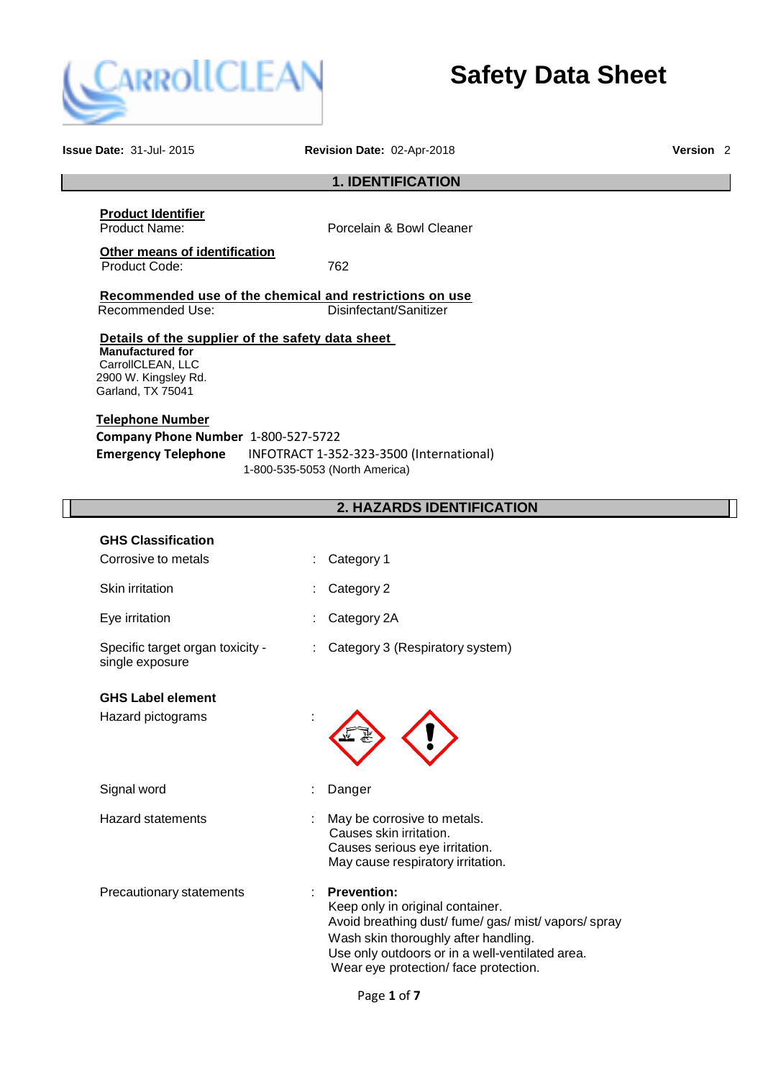

**Safety Data Sheet**

| <b>Issue Date: 31-Jul-2015</b>                                                                                                                                                                                                                                                            | Revision Date: 02-Apr-2018                                                                                                                                                                                                                        | Version <sub>2</sub> |
|-------------------------------------------------------------------------------------------------------------------------------------------------------------------------------------------------------------------------------------------------------------------------------------------|---------------------------------------------------------------------------------------------------------------------------------------------------------------------------------------------------------------------------------------------------|----------------------|
|                                                                                                                                                                                                                                                                                           | <b>1. IDENTIFICATION</b>                                                                                                                                                                                                                          |                      |
| <b>Product Identifier</b><br>Product Name:                                                                                                                                                                                                                                                | Porcelain & Bowl Cleaner                                                                                                                                                                                                                          |                      |
| Other means of identification<br>Product Code:                                                                                                                                                                                                                                            | 762                                                                                                                                                                                                                                               |                      |
| Recommended use of the chemical and restrictions on use<br>Recommended Use:                                                                                                                                                                                                               | Disinfectant/Sanitizer                                                                                                                                                                                                                            |                      |
| Details of the supplier of the safety data sheet<br><b>Manufactured for</b><br>CarrollCLEAN, LLC<br>2900 W. Kingsley Rd.<br>Garland, TX 75041<br><b>Telephone Number</b><br>Company Phone Number 1-800-527-5722<br><b>Emergency Telephone</b><br>INFOTRACT 1-352-323-3500 (International) |                                                                                                                                                                                                                                                   |                      |
|                                                                                                                                                                                                                                                                                           | 1-800-535-5053 (North America)                                                                                                                                                                                                                    |                      |
|                                                                                                                                                                                                                                                                                           | 2. HAZARDS IDENTIFICATION                                                                                                                                                                                                                         |                      |
| <b>GHS Classification</b><br>Corrosive to metals                                                                                                                                                                                                                                          | Category 1                                                                                                                                                                                                                                        |                      |
| Skin irritation                                                                                                                                                                                                                                                                           | Category 2                                                                                                                                                                                                                                        |                      |
| Eye irritation                                                                                                                                                                                                                                                                            | Category 2A                                                                                                                                                                                                                                       |                      |
| Specific target organ toxicity -<br>single exposure                                                                                                                                                                                                                                       | Category 3 (Respiratory system)                                                                                                                                                                                                                   |                      |
| <b>GHS Label element</b><br>Hazard pictograms                                                                                                                                                                                                                                             |                                                                                                                                                                                                                                                   |                      |
| Signal word                                                                                                                                                                                                                                                                               | Danger                                                                                                                                                                                                                                            |                      |
| <b>Hazard statements</b>                                                                                                                                                                                                                                                                  | May be corrosive to metals.<br>Causes skin irritation.<br>Causes serious eye irritation.<br>May cause respiratory irritation.                                                                                                                     |                      |
| Precautionary statements                                                                                                                                                                                                                                                                  | <b>Prevention:</b><br>Keep only in original container.<br>Avoid breathing dust/ fume/ gas/ mist/ vapors/ spray<br>Wash skin thoroughly after handling.<br>Use only outdoors or in a well-ventilated area.<br>Wear eye protection/face protection. |                      |

Page **1** of **7**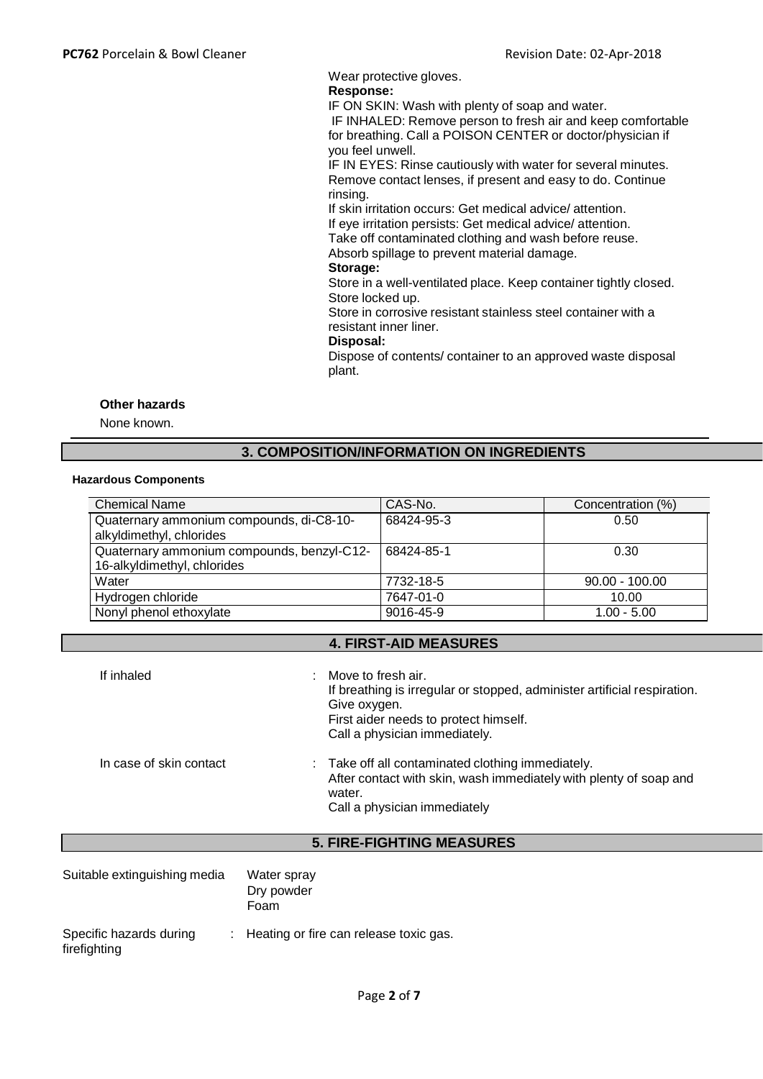Wear protective gloves.

# **Response:**

IF ON SKIN: Wash with plenty of soap and water.

IF INHALED: Remove person to fresh air and keep comfortable for breathing. Call a POISON CENTER or doctor/physician if you feel unwell.

IF IN EYES: Rinse cautiously with water for several minutes. Remove contact lenses, if present and easy to do. Continue rinsing.

If skin irritation occurs: Get medical advice/ attention. If eye irritation persists: Get medical advice/ attention. Take off contaminated clothing and wash before reuse.

Absorb spillage to prevent material damage.

# **Storage:**

Store in a well-ventilated place. Keep container tightly closed. Store locked up.

Store in corrosive resistant stainless steel container with a resistant inner liner.

## **Disposal:**

Dispose of contents/ container to an approved waste disposal plant.

### **Other hazards**

None known.

# **3. COMPOSITION/INFORMATION ON INGREDIENTS**

### **Hazardous Components**

| <b>Chemical Name</b>                                                      | CAS-No.    | Concentration (%) |
|---------------------------------------------------------------------------|------------|-------------------|
| Quaternary ammonium compounds, di-C8-10-<br>alkyldimethyl, chlorides      | 68424-95-3 | 0.50              |
| Quaternary ammonium compounds, benzyl-C12-<br>16-alkyldimethyl, chlorides | 68424-85-1 | 0.30              |
| Water                                                                     | 7732-18-5  | $90.00 - 100.00$  |
| Hydrogen chloride                                                         | 7647-01-0  | 10.00             |
| Nonyl phenol ethoxylate                                                   | 9016-45-9  | $1.00 - 5.00$     |

### **4. FIRST-AID MEASURES**

| If inhaled              | Move to fresh air.<br>÷<br>If breathing is irregular or stopped, administer artificial respiration.<br>Give oxygen.<br>First aider needs to protect himself.<br>Call a physician immediately. |
|-------------------------|-----------------------------------------------------------------------------------------------------------------------------------------------------------------------------------------------|
| In case of skin contact | : Take off all contaminated clothing immediately.<br>After contact with skin, wash immediately with plenty of soap and<br>water.<br>Call a physician immediately                              |

# **5. FIRE-FIGHTING MEASURES**

| Suitable extinguishing media            |  | Water spray<br>Dry powder<br>Foam        |
|-----------------------------------------|--|------------------------------------------|
| Specific hazards during<br>firefighting |  | : Heating or fire can release toxic gas. |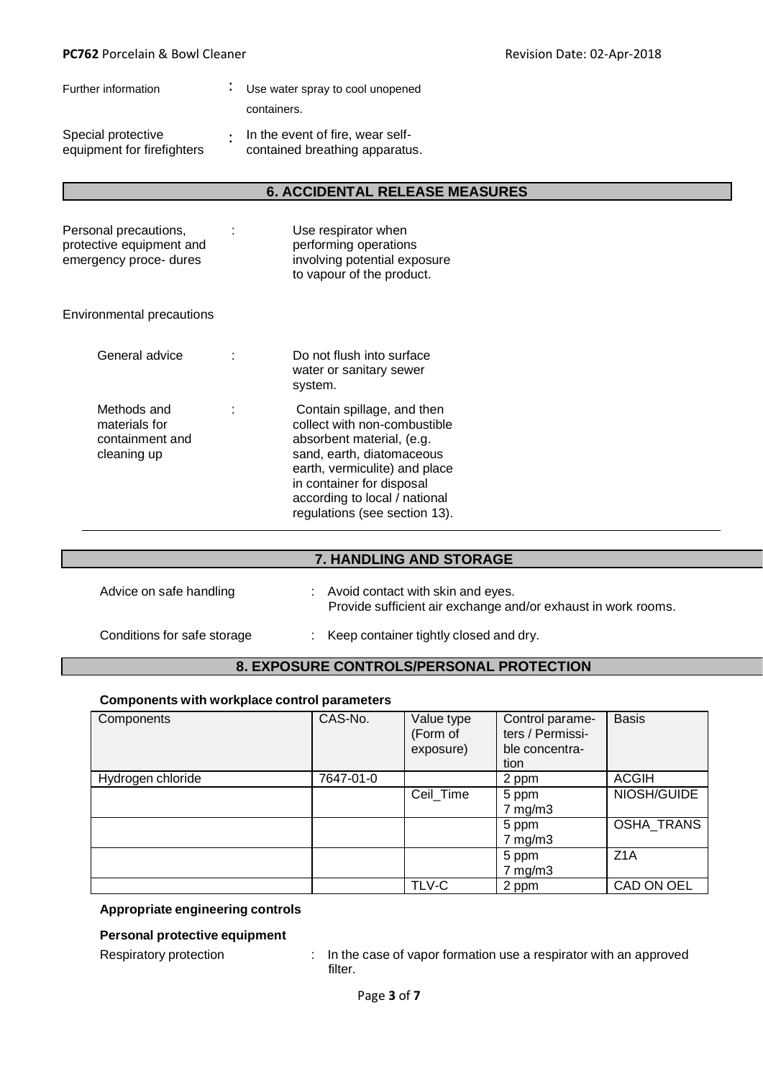| Further information                              | Use water spray to cool unopened                                           |
|--------------------------------------------------|----------------------------------------------------------------------------|
|                                                  | containers.                                                                |
| Special protective<br>equipment for firefighters | $\cdot$ In the event of fire, wear self-<br>contained breathing apparatus. |

## **6. ACCIDENTAL RELEASE MEASURES**

| Personal precautions,<br>protective equipment and<br>emergency proce- dures | ÷ | Use respirator when<br>performing operations<br>involving potential exposure<br>to vapour of the product.                                                                                                                                            |
|-----------------------------------------------------------------------------|---|------------------------------------------------------------------------------------------------------------------------------------------------------------------------------------------------------------------------------------------------------|
| Environmental precautions                                                   |   |                                                                                                                                                                                                                                                      |
| General advice                                                              |   | Do not flush into surface<br>water or sanitary sewer<br>system.                                                                                                                                                                                      |
| Methods and<br>materials for<br>containment and<br>cleaning up              | ÷ | Contain spillage, and then<br>collect with non-combustible<br>absorbent material, (e.g.<br>sand, earth, diatomaceous<br>earth, vermiculite) and place<br>in container for disposal<br>according to local / national<br>regulations (see section 13). |

# **7. HANDLING AND STORAGE**

| Advice on safe handling     | Avoid contact with skin and eyes.<br>Provide sufficient air exchange and/or exhaust in work rooms. |
|-----------------------------|----------------------------------------------------------------------------------------------------|
| Conditions for safe storage | : Keep container tightly closed and dry.                                                           |

### **8. EXPOSURE CONTROLS/PERSONAL PROTECTION**

## **Components with workplace control parameters**

| Components        | CAS-No.   | Value type<br>(Form of<br>exposure) | Control parame-<br>ters / Permissi-<br>ble concentra-<br>tion | <b>Basis</b>     |
|-------------------|-----------|-------------------------------------|---------------------------------------------------------------|------------------|
| Hydrogen chloride | 7647-01-0 |                                     | 2 ppm                                                         | <b>ACGIH</b>     |
|                   |           | Ceil_Time                           | 5 ppm                                                         | NIOSH/GUIDE      |
|                   |           |                                     | $7$ mg/m $3$                                                  |                  |
|                   |           |                                     | 5 ppm                                                         | OSHA_TRANS       |
|                   |           |                                     | $7$ mg/m $3$                                                  |                  |
|                   |           |                                     | 5 ppm                                                         | Z <sub>1</sub> A |
|                   |           |                                     | $7$ mg/m $3$                                                  |                  |
|                   |           | TLV-C                               | 2 ppm                                                         | CAD ON OEL       |

# **Appropriate engineering controls**

## **Personal protective equipment**

Respiratory protection : In the case of vapor formation use a respirator with an approved filter.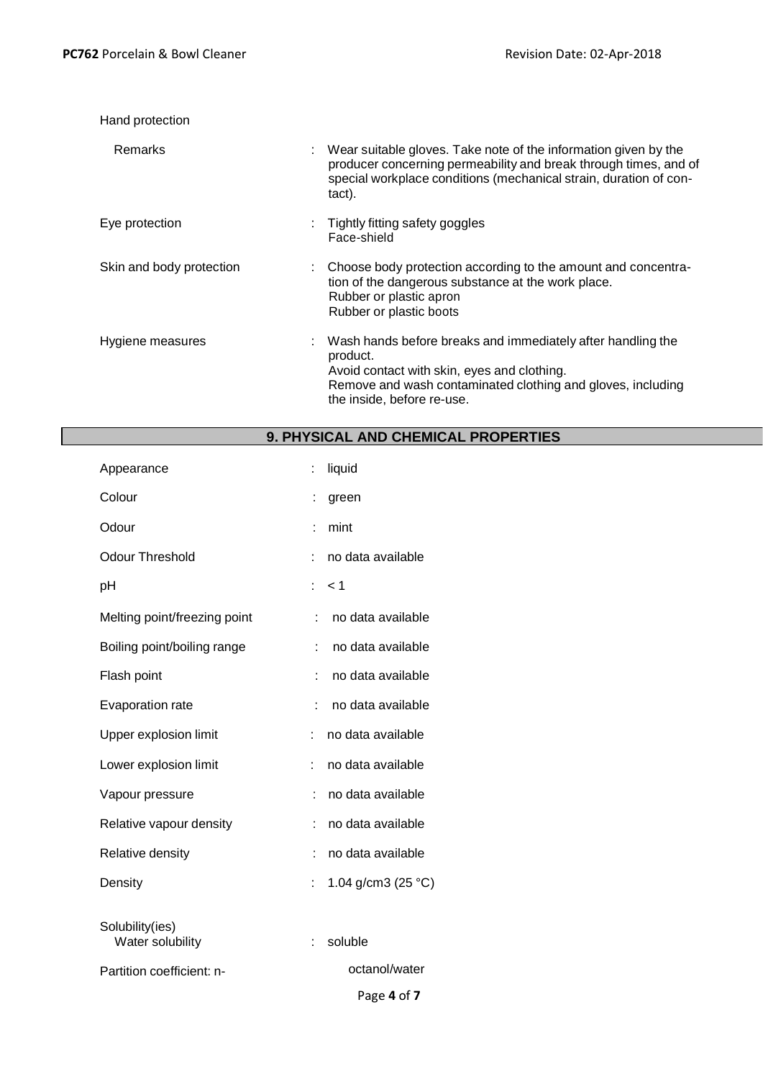| Hand protection          |                                                                                                                                                                                                                           |
|--------------------------|---------------------------------------------------------------------------------------------------------------------------------------------------------------------------------------------------------------------------|
| Remarks                  | Wear suitable gloves. Take note of the information given by the<br>producer concerning permeability and break through times, and of<br>special workplace conditions (mechanical strain, duration of con-<br>tact).        |
| Eye protection           | : Tightly fitting safety goggles<br>Face-shield                                                                                                                                                                           |
| Skin and body protection | Choose body protection according to the amount and concentra-<br>tion of the dangerous substance at the work place.<br>Rubber or plastic apron<br>Rubber or plastic boots                                                 |
| Hygiene measures         | Wash hands before breaks and immediately after handling the<br>÷.<br>product.<br>Avoid contact with skin, eyes and clothing.<br>Remove and wash contaminated clothing and gloves, including<br>the inside, before re-use. |

| <b>9. PHYSICAL AND CHEMICAL PROPERTIES</b> |
|--------------------------------------------|
| $:$ liquid                                 |

| Appearance                          | $\ddot{\phantom{a}}$ | liquid                |
|-------------------------------------|----------------------|-----------------------|
| Colour                              | İ,                   | green                 |
| Odour                               | t                    | mint                  |
| <b>Odour Threshold</b>              |                      | no data available     |
| рH                                  | ÷                    | < 1                   |
| Melting point/freezing point        | ÷                    | no data available     |
| Boiling point/boiling range         | t.                   | no data available     |
| Flash point                         | t                    | no data available     |
| Evaporation rate                    | ۹                    | no data available     |
| Upper explosion limit               | ÷                    | no data available     |
| Lower explosion limit               | ÷                    | no data available     |
| Vapour pressure                     | ÷                    | no data available     |
| Relative vapour density             | ÷                    | no data available     |
| Relative density                    | t                    | no data available     |
| Density                             | t,                   | 1.04 g/cm3 (25 $°C$ ) |
| Solubility(ies)<br>Water solubility | t                    | soluble               |
| Partition coefficient: n-           |                      | octanol/water         |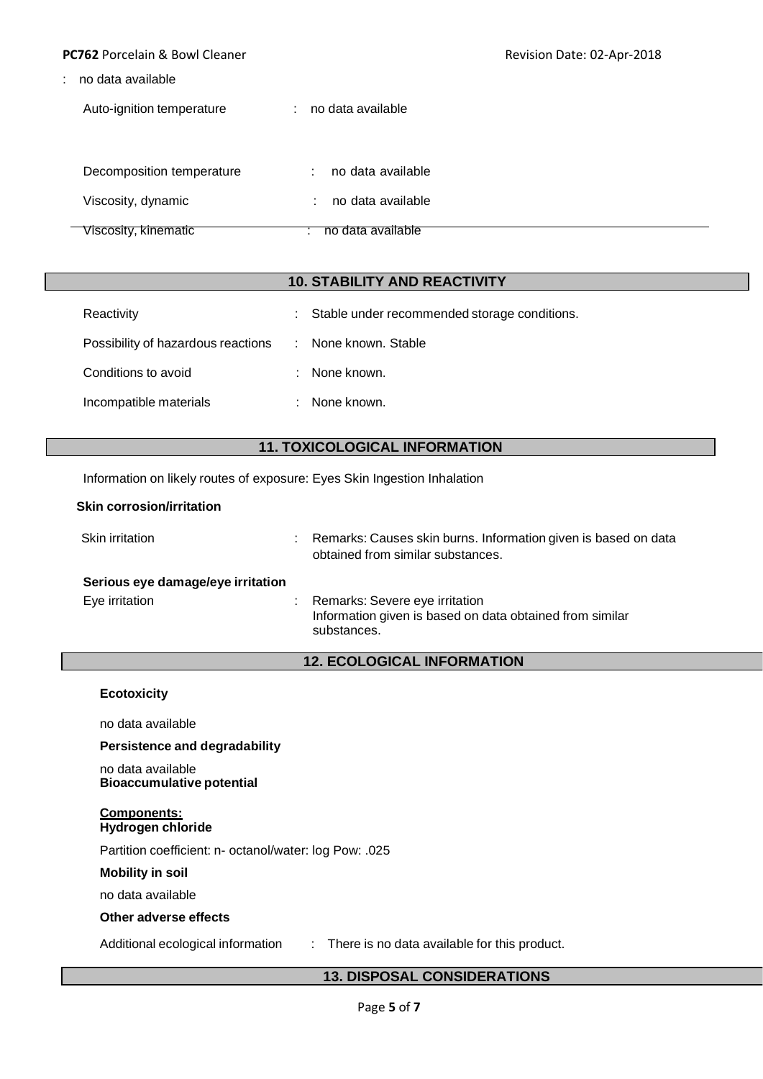### **PC762** Porcelain & Bowl Cleaner **Revision Date: 02-Apr-2018**

: no data available

Auto-ignition temperature : no data available

| Decomposition temperature | no data available |
|---------------------------|-------------------|
| Viscosity, dynamic        | no data available |
| Viscosity, kinematic      | no data available |

# **10. STABILITY AND REACTIVITY**

| Reactivity                         | Stable under recommended storage conditions.<br>t. |  |
|------------------------------------|----------------------------------------------------|--|
| Possibility of hazardous reactions | : None known. Stable                               |  |
| Conditions to avoid                | : None known.                                      |  |
| Incompatible materials             | : None known.                                      |  |

# **11. TOXICOLOGICAL INFORMATION**

Information on likely routes of exposure: Eyes Skin Ingestion Inhalation

| Skin irritation                   | Remarks: Causes skin burns. Information given is based on data<br>obtained from similar substances.       |
|-----------------------------------|-----------------------------------------------------------------------------------------------------------|
| Serious eye damage/eye irritation |                                                                                                           |
| Eye irritation                    | Remarks: Severe eye irritation<br>Information given is based on data obtained from similar<br>substances. |
|                                   | <b>12. ECOLOGICAL INFORMATION</b>                                                                         |

## **Ecotoxicity**

no data available

**Persistence and degradability**

no data available **Bioaccumulative potential**

#### **Components: Hydrogen chloride**

Partition coefficient: n- octanol/water: log Pow: .025

## **Mobility in soil**

no data available

### **Other adverse effects**

Additional ecological information : There is no data available for this product.

### **13. DISPOSAL CONSIDERATIONS**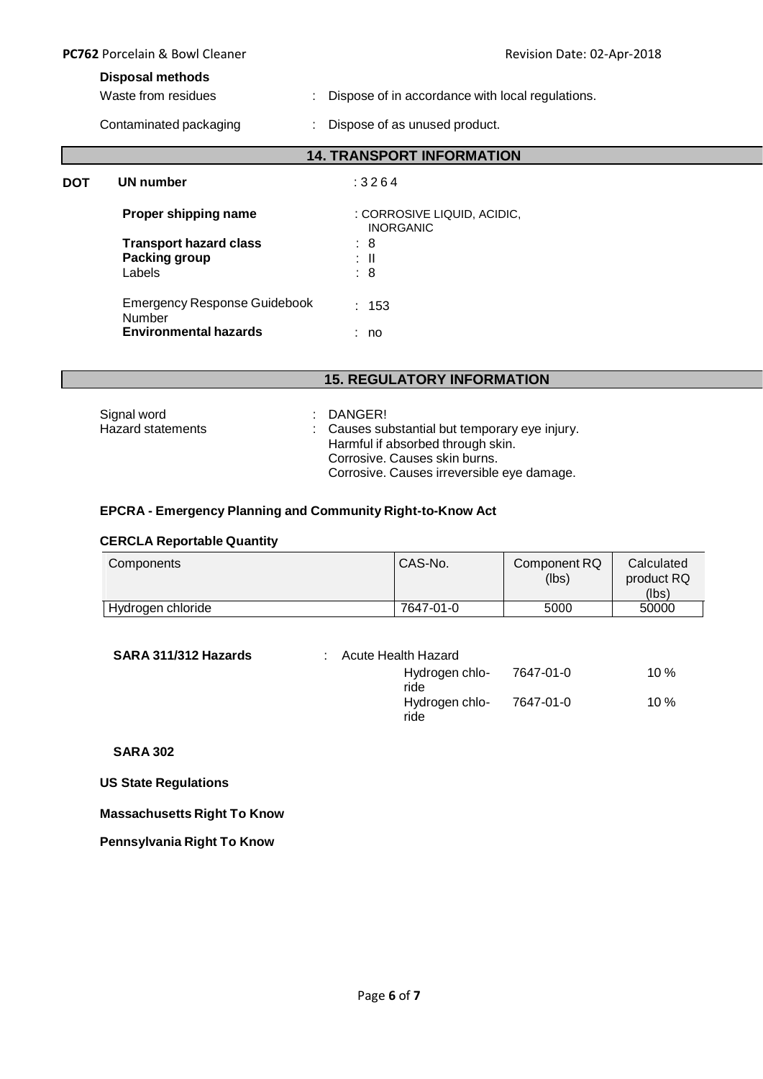| <b>PC762</b> Porcelain & Bowl Cleaner<br><b>Disposal methods</b><br>Waste from residues<br>Contaminated packaging |                                                          | Revision Date: 02-Apr-2018                       |  |  |
|-------------------------------------------------------------------------------------------------------------------|----------------------------------------------------------|--------------------------------------------------|--|--|
|                                                                                                                   |                                                          |                                                  |  |  |
|                                                                                                                   |                                                          | Dispose of in accordance with local regulations. |  |  |
|                                                                                                                   |                                                          | Dispose of as unused product.                    |  |  |
|                                                                                                                   |                                                          | <b>14. TRANSPORT INFORMATION</b>                 |  |  |
| <b>DOT</b>                                                                                                        | UN number                                                | :3264                                            |  |  |
|                                                                                                                   | Proper shipping name                                     | : CORROSIVE LIQUID, ACIDIC,<br><b>INORGANIC</b>  |  |  |
|                                                                                                                   | <b>Transport hazard class</b><br>Packing group<br>Labels | : 8<br>: II<br>: 8                               |  |  |
|                                                                                                                   | <b>Emergency Response Guidebook</b><br>Number            | : 153                                            |  |  |
|                                                                                                                   | <b>Environmental hazards</b>                             | : no                                             |  |  |

# **15. REGULATORY INFORMATION**

| Signal word       | : DANGER!                                      |
|-------------------|------------------------------------------------|
| Hazard statements | : Causes substantial but temporary eye injury. |
|                   | Harmful if absorbed through skin.              |
|                   | Corrosive, Causes skin burns.                  |
|                   | Corrosive. Causes irreversible eye damage.     |

# **EPCRA - Emergency Planning and Community Right-to-Know Act**

# **CERCLA Reportable Quantity**

| Components        | CAS-No.   | Component RQ<br>(lbs) | Calculated<br>product RQ<br>(lbs) |
|-------------------|-----------|-----------------------|-----------------------------------|
|                   |           |                       |                                   |
| Hydrogen chloride | 7647-01-0 | 5000                  | 50000                             |

| SARA 311/312 Hazards | Acute Health Hazard |                        |           |        |
|----------------------|---------------------|------------------------|-----------|--------|
|                      |                     | Hydrogen chlo-<br>ride | 7647-01-0 | $10\%$ |
|                      |                     | Hydrogen chlo-<br>ride | 7647-01-0 | $10\%$ |

# **SARA 302**

# **US State Regulations**

# **Massachusetts Right To Know**

# **Pennsylvania Right To Know**